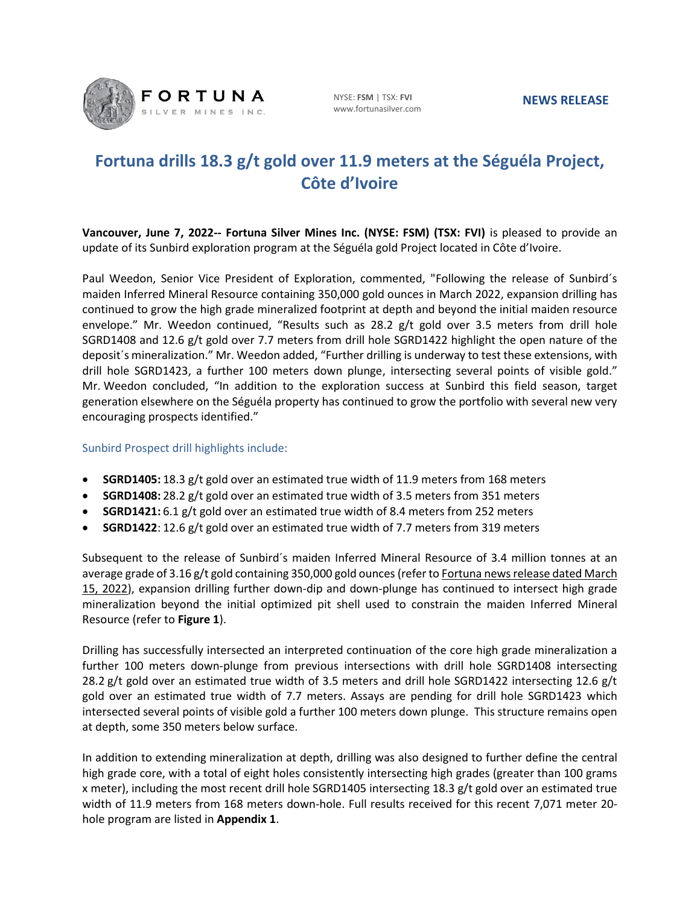

NYSE: **FSM** | TSX: **FVI** www.fortunasilver.com

# **Fortuna drills 18.3 g/t gold over 11.9 meters at the Séguéla Project, Côte d'Ivoire**

**Vancouver, June 7, 2022-- Fortuna Silver Mines Inc. (NYSE: FSM) (TSX: FVI)** is pleased to provide an update of its Sunbird exploration program at the Séguéla gold Project located in Côte d'Ivoire.

Paul Weedon, Senior Vice President of Exploration, commented, "Following the release of Sunbird´s maiden Inferred Mineral Resource containing 350,000 gold ounces in March 2022, expansion drilling has continued to grow the high grade mineralized footprint at depth and beyond the initial maiden resource envelope." Mr. Weedon continued, "Results such as 28.2 g/t gold over 3.5 meters from drill hole SGRD1408 and 12.6 g/t gold over 7.7 meters from drill hole SGRD1422 highlight the open nature of the deposit´s mineralization." Mr. Weedon added, "Further drilling is underway to test these extensions, with drill hole SGRD1423, a further 100 meters down plunge, intersecting several points of visible gold." Mr. Weedon concluded, "In addition to the exploration success at Sunbird this field season, target generation elsewhere on the Séguéla property has continued to grow the portfolio with several new very encouraging prospects identified."

### Sunbird Prospect drill highlights include:

- **SGRD1405:** 18.3 g/t gold over an estimated true width of 11.9 meters from 168 meters
- **SGRD1408:** 28.2 g/t gold over an estimated true width of 3.5 meters from 351 meters
- **SGRD1421:** 6.1 g/t gold over an estimated true width of 8.4 meters from 252 meters
- **SGRD1422**: 12.6 g/t gold over an estimated true width of 7.7 meters from 319 meters

Subsequent to the release of Sunbird´s maiden Inferred Mineral Resource of 3.4 million tonnes at an average grade of 3.16 g/t gold containing 350,000 gold ounces(refer t[o Fortuna news release dated March](https://fortunasilver.com/site/assets/files/13473/2022-03-15-fvi-nr_1.pdf)  [15, 2022\)](https://fortunasilver.com/site/assets/files/13473/2022-03-15-fvi-nr_1.pdf), expansion drilling further down-dip and down-plunge has continued to intersect high grade mineralization beyond the initial optimized pit shell used to constrain the maiden Inferred Mineral Resource (refer to **Figure 1**).

Drilling has successfully intersected an interpreted continuation of the core high grade mineralization a further 100 meters down-plunge from previous intersections with drill hole SGRD1408 intersecting 28.2 g/t gold over an estimated true width of 3.5 meters and drill hole SGRD1422 intersecting 12.6 g/t gold over an estimated true width of 7.7 meters. Assays are pending for drill hole SGRD1423 which intersected several points of visible gold a further 100 meters down plunge. This structure remains open at depth, some 350 meters below surface.

In addition to extending mineralization at depth, drilling was also designed to further define the central high grade core, with a total of eight holes consistently intersecting high grades (greater than 100 grams x meter), including the most recent drill hole SGRD1405 intersecting 18.3 g/t gold over an estimated true width of 11.9 meters from 168 meters down-hole. Full results received for this recent 7,071 meter 20 hole program are listed in **Appendix 1**.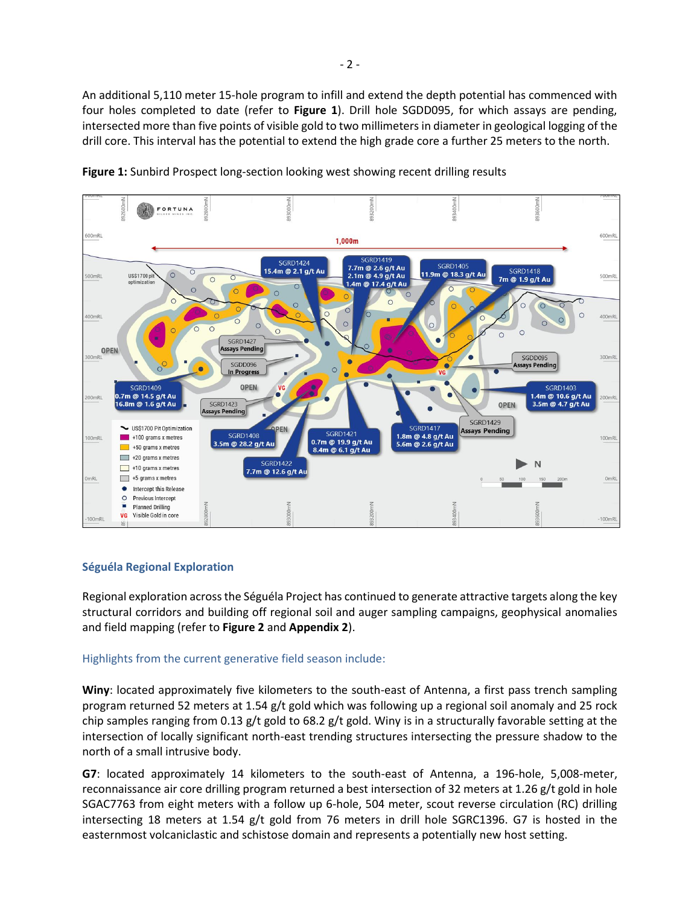An additional 5,110 meter 15-hole program to infill and extend the depth potential has commenced with four holes completed to date (refer to **Figure 1**). Drill hole SGDD095, for which assays are pending, intersected more than five points of visible gold to two millimeters in diameter in geological logging of the drill core. This interval has the potential to extend the high grade core a further 25 meters to the north.





### **Séguéla Regional Exploration**

Regional exploration across the Séguéla Project has continued to generate attractive targets along the key structural corridors and building off regional soil and auger sampling campaigns, geophysical anomalies and field mapping (refer to **Figure 2** and **Appendix 2**).

### Highlights from the current generative field season include:

**Winy**: located approximately five kilometers to the south-east of Antenna, a first pass trench sampling program returned 52 meters at 1.54 g/t gold which was following up a regional soil anomaly and 25 rock chip samples ranging from 0.13 g/t gold to 68.2 g/t gold. Winy is in a structurally favorable setting at the intersection of locally significant north-east trending structures intersecting the pressure shadow to the north of a small intrusive body.

**G7**: located approximately 14 kilometers to the south-east of Antenna, a 196-hole, 5,008-meter, reconnaissance air core drilling program returned a best intersection of 32 meters at 1.26 g/t gold in hole SGAC7763 from eight meters with a follow up 6-hole, 504 meter, scout reverse circulation (RC) drilling intersecting 18 meters at 1.54 g/t gold from 76 meters in drill hole SGRC1396. G7 is hosted in the easternmost volcaniclastic and schistose domain and represents a potentially new host setting.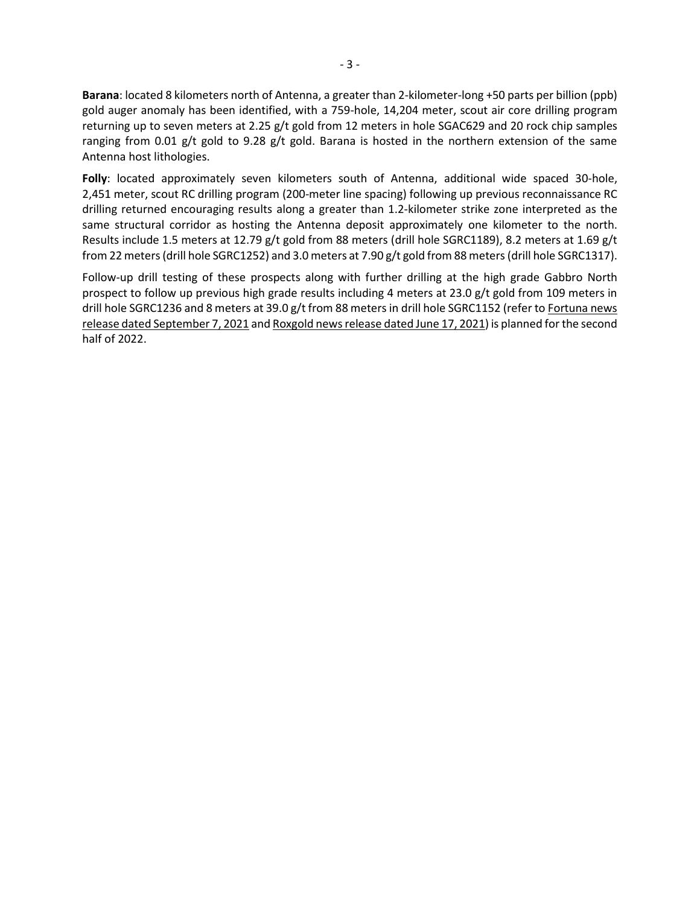**Barana**: located 8 kilometers north of Antenna, a greater than 2-kilometer-long +50 parts per billion (ppb) gold auger anomaly has been identified, with a 759-hole, 14,204 meter, scout air core drilling program returning up to seven meters at 2.25 g/t gold from 12 meters in hole SGAC629 and 20 rock chip samples ranging from 0.01 g/t gold to 9.28 g/t gold. Barana is hosted in the northern extension of the same Antenna host lithologies.

**Folly**: located approximately seven kilometers south of Antenna, additional wide spaced 30-hole, 2,451 meter, scout RC drilling program (200-meter line spacing) following up previous reconnaissance RC drilling returned encouraging results along a greater than 1.2-kilometer strike zone interpreted as the same structural corridor as hosting the Antenna deposit approximately one kilometer to the north. Results include 1.5 meters at 12.79 g/t gold from 88 meters (drill hole SGRC1189), 8.2 meters at 1.69 g/t from 22 meters (drill hole SGRC1252) and 3.0 meters at 7.90 g/t gold from 88 meters (drill hole SGRC1317).

Follow-up drill testing of these prospects along with further drilling at the high grade Gabbro North prospect to follow up previous high grade results including 4 meters at 23.0 g/t gold from 109 meters in drill hole SGRC1236 and 8 meters at 39.0 g/t from 88 meters in drill hole SGRC1152 (refer t[o Fortuna news](https://fortunasilver.com/site/assets/files/11116/2021-09-07-fvi-nr.pdf)  [release dated September 7, 2021](https://fortunasilver.com/site/assets/files/11116/2021-09-07-fvi-nr.pdf) an[d Roxgold news release](https://sedar.com/GetFile.do?lang=EN&docClass=8&issuerNo=00005999&issuerType=03&projectNo=03239063&docId=4989133) dated June 17, 2021) is planned for the second half of 2022.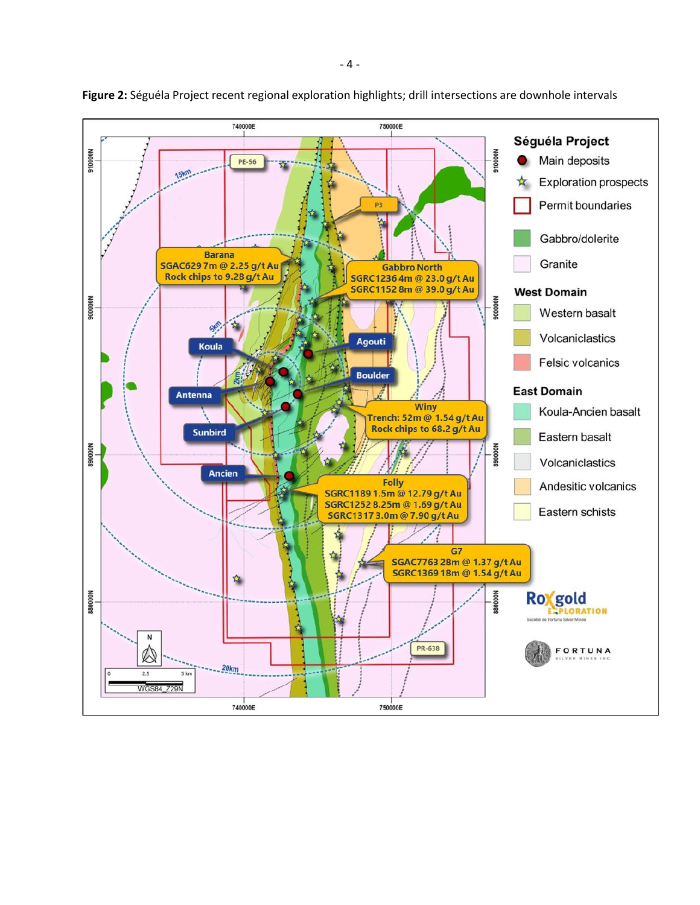

**Figure 2:** Séguéla Project recent regional exploration highlights; drill intersections are downhole intervals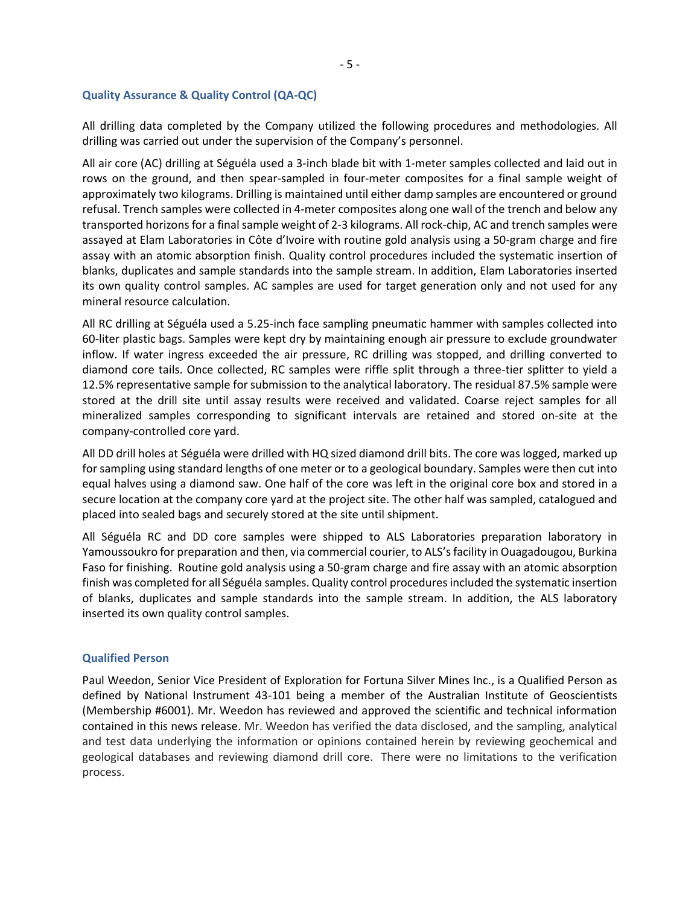#### **Quality Assurance & Quality Control (QA-QC)**

All drilling data completed by the Company utilized the following procedures and methodologies. All drilling was carried out under the supervision of the Company's personnel.

All air core (AC) drilling at Séguéla used a 3-inch blade bit with 1-meter samples collected and laid out in rows on the ground, and then spear-sampled in four-meter composites for a final sample weight of approximately two kilograms. Drilling is maintained until either damp samples are encountered or ground refusal. Trench samples were collected in 4-meter composites along one wall of the trench and below any transported horizons for a final sample weight of 2-3 kilograms. All rock-chip, AC and trench samples were assayed at Elam Laboratories in Côte d'Ivoire with routine gold analysis using a 50-gram charge and fire assay with an atomic absorption finish. Quality control procedures included the systematic insertion of blanks, duplicates and sample standards into the sample stream. In addition, Elam Laboratories inserted its own quality control samples. AC samples are used for target generation only and not used for any mineral resource calculation.

All RC drilling at Séguéla used a 5.25-inch face sampling pneumatic hammer with samples collected into 60-liter plastic bags. Samples were kept dry by maintaining enough air pressure to exclude groundwater inflow. If water ingress exceeded the air pressure, RC drilling was stopped, and drilling converted to diamond core tails. Once collected, RC samples were riffle split through a three-tier splitter to yield a 12.5% representative sample for submission to the analytical laboratory. The residual 87.5% sample were stored at the drill site until assay results were received and validated. Coarse reject samples for all mineralized samples corresponding to significant intervals are retained and stored on-site at the company-controlled core yard.

All DD drill holes at Séguéla were drilled with HQ sized diamond drill bits. The core was logged, marked up for sampling using standard lengths of one meter or to a geological boundary. Samples were then cut into equal halves using a diamond saw. One half of the core was left in the original core box and stored in a secure location at the company core yard at the project site. The other half was sampled, catalogued and placed into sealed bags and securely stored at the site until shipment.

All Séguéla RC and DD core samples were shipped to ALS Laboratories preparation laboratory in Yamoussoukro for preparation and then, via commercial courier, to ALS's facility in Ouagadougou, Burkina Faso for finishing. Routine gold analysis using a 50-gram charge and fire assay with an atomic absorption finish was completed for all Séguéla samples. Quality control procedures included the systematic insertion of blanks, duplicates and sample standards into the sample stream. In addition, the ALS laboratory inserted its own quality control samples.

#### **Qualified Person**

Paul Weedon, Senior Vice President of Exploration for Fortuna Silver Mines Inc., is a Qualified Person as defined by National Instrument 43-101 being a member of the Australian Institute of Geoscientists (Membership #6001). Mr. Weedon has reviewed and approved the scientific and technical information contained in this news release. Mr. Weedon has verified the data disclosed, and the sampling, analytical and test data underlying the information or opinions contained herein by reviewing geochemical and geological databases and reviewing diamond drill core. There were no limitations to the verification process.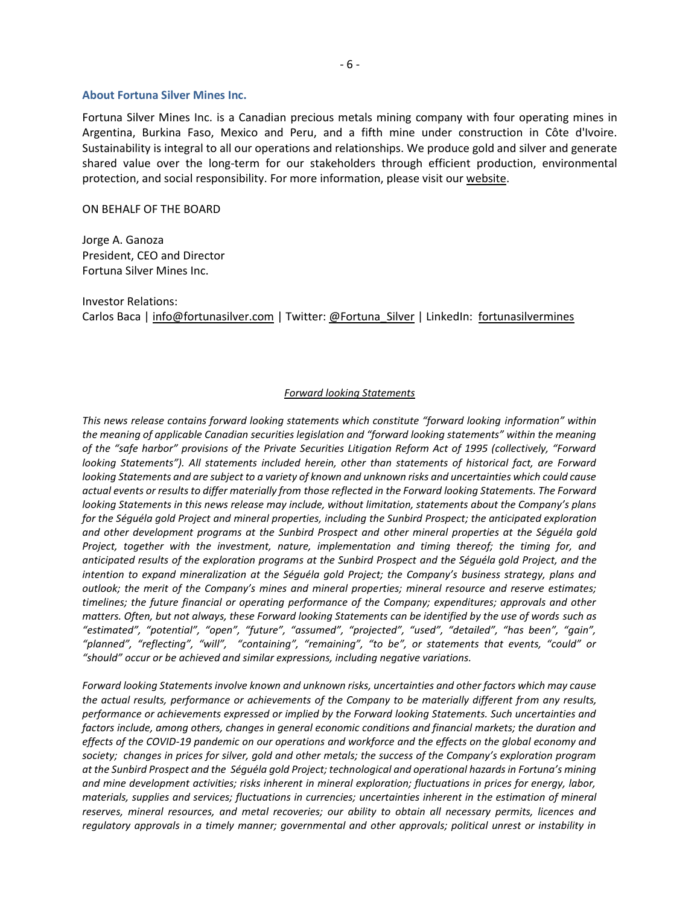#### **About Fortuna Silver Mines Inc.**

Fortuna Silver Mines Inc. is a Canadian precious metals mining company with four operating mines in Argentina, Burkina Faso, Mexico and Peru, and a fifth mine under construction in Côte d'Ivoire. Sustainability is integral to all our operations and relationships. We produce gold and silver and generate shared value over the long-term for our stakeholders through efficient production, environmental protection, and social responsibility. For more information, please visit our [website.](https://fortunasilver.com/)

#### ON BEHALF OF THE BOARD

Jorge A. Ganoza President, CEO and Director Fortuna Silver Mines Inc.

Investor Relations: Carlos Baca | [info@fortunasilver.com](mailto:info@fortunasilver.com) | Twitter[: @Fortuna\\_Silver](https://twitter.com/Fortuna_Silver?t=5v8vqKKvb4yDTKNCSWmzGQ&s=09) | LinkedIn: [fortunasilvermines](https://www.linkedin.com/company/fortunasilvermines/posts/?feedView=all)

#### *Forward looking Statements*

*This news release contains forward looking statements which constitute "forward looking information" within the meaning of applicable Canadian securities legislation and "forward looking statements" within the meaning of the "safe harbor" provisions of the Private Securities Litigation Reform Act of 1995 (collectively, "Forward looking Statements"). All statements included herein, other than statements of historical fact, are Forward looking Statements and are subject to a variety of known and unknown risks and uncertainties which could cause actual events or results to differ materially from those reflected in the Forward looking Statements. The Forward looking Statements in this news release may include, without limitation, statements about the Company's plans for the Séguéla gold Project and mineral properties, including the Sunbird Prospect; the anticipated exploration and other development programs at the Sunbird Prospect and other mineral properties at the Séguéla gold Project, together with the investment, nature, implementation and timing thereof; the timing for, and anticipated results of the exploration programs at the Sunbird Prospect and the Séguéla gold Project, and the intention to expand mineralization at the Séguéla gold Project; the Company's business strategy, plans and outlook; the merit of the Company's mines and mineral properties; mineral resource and reserve estimates; timelines; the future financial or operating performance of the Company; expenditures; approvals and other matters. Often, but not always, these Forward looking Statements can be identified by the use of words such as "estimated", "potential", "open", "future", "assumed", "projected", "used", "detailed", "has been", "gain", "planned", "reflecting", "will", "containing", "remaining", "to be", or statements that events, "could" or "should" occur or be achieved and similar expressions, including negative variations.*

*Forward looking Statements involve known and unknown risks, uncertainties and other factors which may cause the actual results, performance or achievements of the Company to be materially different from any results, performance or achievements expressed or implied by the Forward looking Statements. Such uncertainties and factors include, among others, changes in general economic conditions and financial markets; the duration and effects of the COVID-19 pandemic on our operations and workforce and the effects on the global economy and society; changes in prices for silver, gold and other metals; the success of the Company's exploration program at the Sunbird Prospect and the Séguéla gold Project; technological and operational hazards in Fortuna's mining and mine development activities; risks inherent in mineral exploration; fluctuations in prices for energy, labor, materials, supplies and services; fluctuations in currencies; uncertainties inherent in the estimation of mineral reserves, mineral resources, and metal recoveries; our ability to obtain all necessary permits, licences and regulatory approvals in a timely manner; governmental and other approvals; political unrest or instability in*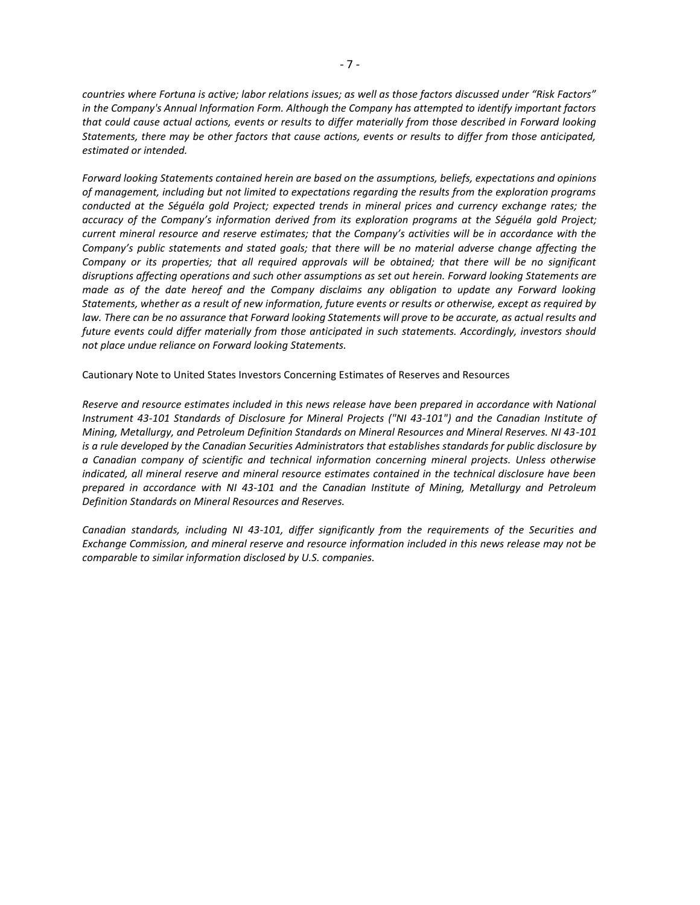*countries where Fortuna is active; labor relations issues; as well as those factors discussed under "Risk Factors" in the Company's Annual Information Form. Although the Company has attempted to identify important factors that could cause actual actions, events or results to differ materially from those described in Forward looking Statements, there may be other factors that cause actions, events or results to differ from those anticipated, estimated or intended.*

*Forward looking Statements contained herein are based on the assumptions, beliefs, expectations and opinions of management, including but not limited to expectations regarding the results from the exploration programs conducted at the Séguéla gold Project; expected trends in mineral prices and currency exchange rates; the accuracy of the Company's information derived from its exploration programs at the Séguéla gold Project; current mineral resource and reserve estimates; that the Company's activities will be in accordance with the Company's public statements and stated goals; that there will be no material adverse change affecting the Company or its properties; that all required approvals will be obtained; that there will be no significant disruptions affecting operations and such other assumptions as set out herein. Forward looking Statements are made as of the date hereof and the Company disclaims any obligation to update any Forward looking Statements, whether as a result of new information, future events or results or otherwise, except as required by*  law. There can be no assurance that Forward looking Statements will prove to be accurate, as actual results and *future events could differ materially from those anticipated in such statements. Accordingly, investors should not place undue reliance on Forward looking Statements.*

Cautionary Note to United States Investors Concerning Estimates of Reserves and Resources

*Reserve and resource estimates included in this news release have been prepared in accordance with National Instrument 43-101 Standards of Disclosure for Mineral Projects ("NI 43-101") and the Canadian Institute of Mining, Metallurgy, and Petroleum Definition Standards on Mineral Resources and Mineral Reserves. NI 43-101 is a rule developed by the Canadian Securities Administrators that establishes standards for public disclosure by a Canadian company of scientific and technical information concerning mineral projects. Unless otherwise indicated, all mineral reserve and mineral resource estimates contained in the technical disclosure have been prepared in accordance with NI 43-101 and the Canadian Institute of Mining, Metallurgy and Petroleum Definition Standards on Mineral Resources and Reserves.*

*Canadian standards, including NI 43-101, differ significantly from the requirements of the Securities and Exchange Commission, and mineral reserve and resource information included in this news release may not be comparable to similar information disclosed by U.S. companies.*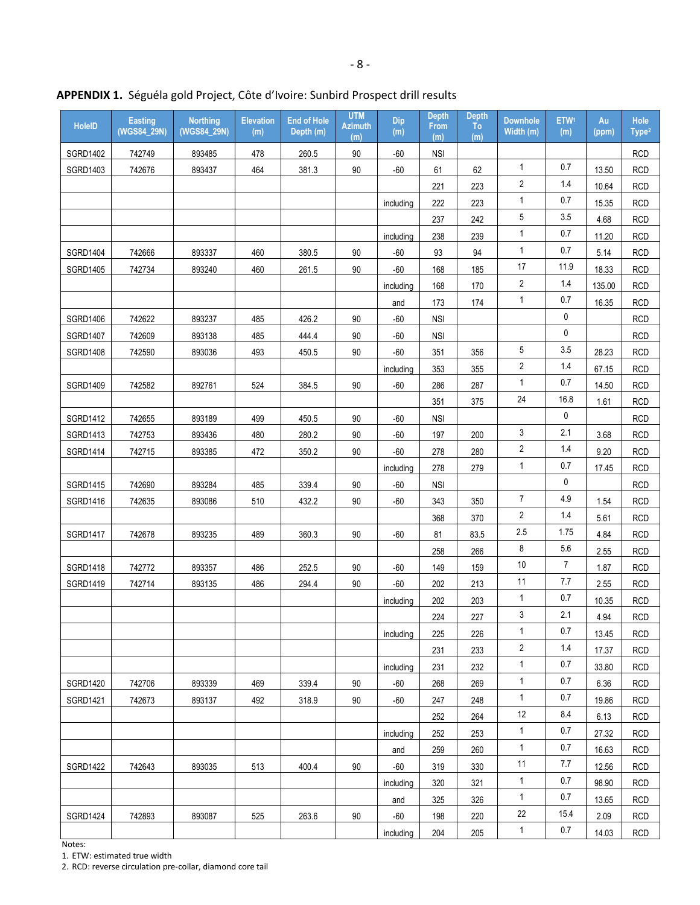| <b>HoleID</b>   | <b>Easting</b><br>(WGS84_29N) | <b>Northing</b><br>(WGS84_29N) | <b>Elevation</b><br>(m) | <b>End of Hole</b><br>Depth (m) | <b>UTM</b><br><b>Azimuth</b><br>(m) | Dip<br>(m) | <b>Depth</b><br>From<br>(m) | <b>Depth</b><br><b>To</b><br>(m) | <b>Downhole</b><br>Width (m) | ETW <sup>1</sup><br>(m) | Au<br>(ppm) | Hole<br>Type <sup>2</sup> |
|-----------------|-------------------------------|--------------------------------|-------------------------|---------------------------------|-------------------------------------|------------|-----------------------------|----------------------------------|------------------------------|-------------------------|-------------|---------------------------|
| <b>SGRD1402</b> | 742749                        | 893485                         | 478                     | 260.5                           | 90                                  | $-60$      | <b>NSI</b>                  |                                  |                              |                         |             | <b>RCD</b>                |
| SGRD1403        | 742676                        | 893437                         | 464                     | 381.3                           | 90                                  | $-60$      | 61                          | 62                               | $\mathbf{1}$                 | 0.7                     | 13.50       | <b>RCD</b>                |
|                 |                               |                                |                         |                                 |                                     |            | 221                         | 223                              | 2                            | 1.4                     | 10.64       | <b>RCD</b>                |
|                 |                               |                                |                         |                                 |                                     | including  | 222                         | 223                              | $\mathbf{1}$                 | 0.7                     | 15.35       | <b>RCD</b>                |
|                 |                               |                                |                         |                                 |                                     |            | 237                         | 242                              | 5                            | 3.5                     | 4.68        | <b>RCD</b>                |
|                 |                               |                                |                         |                                 |                                     | including  | 238                         | 239                              | 1                            | 0.7                     | 11.20       | <b>RCD</b>                |
| SGRD1404        | 742666                        | 893337                         | 460                     | 380.5                           | 90                                  | $-60$      | 93                          | 94                               | $\mathbf{1}$                 | 0.7                     | 5.14        | <b>RCD</b>                |
| <b>SGRD1405</b> | 742734                        | 893240                         | 460                     | 261.5                           | 90                                  | $-60$      | 168                         | 185                              | $17\,$                       | 11.9                    | 18.33       | <b>RCD</b>                |
|                 |                               |                                |                         |                                 |                                     | including  | 168                         | 170                              | 2                            | $1.4$                   | 135.00      | <b>RCD</b>                |
|                 |                               |                                |                         |                                 |                                     | and        | 173                         | 174                              | 1                            | 0.7                     | 16.35       | <b>RCD</b>                |
| SGRD1406        | 742622                        | 893237                         | 485                     | 426.2                           | 90                                  | $-60$      | <b>NSI</b>                  |                                  |                              | 0                       |             | <b>RCD</b>                |
| <b>SGRD1407</b> | 742609                        | 893138                         | 485                     | 444.4                           | 90                                  | $-60$      | <b>NSI</b>                  |                                  |                              | 0                       |             | <b>RCD</b>                |
| <b>SGRD1408</b> | 742590                        | 893036                         | 493                     | 450.5                           | 90                                  | $-60$      | 351                         | 356                              | 5                            | 3.5                     | 28.23       | <b>RCD</b>                |
|                 |                               |                                |                         |                                 |                                     | including  | 353                         | 355                              | 2                            | 1.4                     | 67.15       | <b>RCD</b>                |
| SGRD1409        | 742582                        | 892761                         | 524                     | 384.5                           | 90                                  | $-60$      | 286                         | 287                              | 1                            | 0.7                     | 14.50       | <b>RCD</b>                |
|                 |                               |                                |                         |                                 |                                     |            | 351                         | 375                              | 24                           | 16.8                    | 1.61        | <b>RCD</b>                |
| SGRD1412        | 742655                        | 893189                         | 499                     | 450.5                           | 90                                  | $-60$      | <b>NSI</b>                  |                                  |                              | 0                       |             | <b>RCD</b>                |
| SGRD1413        | 742753                        | 893436                         | 480                     | 280.2                           | 90                                  | $-60$      | 197                         | 200                              | 3                            | 2.1                     | 3.68        | <b>RCD</b>                |
| <b>SGRD1414</b> | 742715                        | 893385                         | 472                     | 350.2                           | 90                                  | $-60$      | 278                         | 280                              | $\overline{\mathbf{c}}$      | 1.4                     | 9.20        | <b>RCD</b>                |
|                 |                               |                                |                         |                                 |                                     | including  | 278                         | 279                              | 1                            | 0.7                     | 17.45       | <b>RCD</b>                |
| <b>SGRD1415</b> | 742690                        | 893284                         | 485                     | 339.4                           | 90                                  | $-60$      | <b>NSI</b>                  |                                  |                              | 0                       |             | <b>RCD</b>                |
| <b>SGRD1416</b> | 742635                        | 893086                         | 510                     | 432.2                           | 90                                  | $-60$      | 343                         | 350                              | $\overline{7}$               | 4.9                     | 1.54        | <b>RCD</b>                |
|                 |                               |                                |                         |                                 |                                     |            | 368                         | 370                              | 2                            | 1.4                     | 5.61        | <b>RCD</b>                |
| <b>SGRD1417</b> | 742678                        | 893235                         | 489                     | 360.3                           | 90                                  | $-60$      | 81                          | 83.5                             | 2.5                          | 1.75                    | 4.84        | <b>RCD</b>                |
|                 |                               |                                |                         |                                 |                                     |            | 258                         | 266                              | 8                            | 5.6                     | 2.55        | <b>RCD</b>                |
| <b>SGRD1418</b> | 742772                        | 893357                         | 486                     | 252.5                           | 90                                  | $-60$      | 149                         | 159                              | 10                           | $\overline{7}$          | 1.87        | <b>RCD</b>                |
| SGRD1419        | 742714                        | 893135                         | 486                     | 294.4                           | 90                                  | $-60$      | 202                         | 213                              | 11                           | 7.7                     | 2.55        | <b>RCD</b>                |
|                 |                               |                                |                         |                                 |                                     | including  | 202                         | 203                              | 1                            | 0.7                     | 10.35       | <b>RCD</b>                |
|                 |                               |                                |                         |                                 |                                     |            | 224                         | 227                              | 3                            | 2.1                     | 4.94        | <b>RCD</b>                |
|                 |                               |                                |                         |                                 |                                     | including  | 225                         | 226                              | 1                            | 0.7                     | 13.45       | <b>RCD</b>                |
|                 |                               |                                |                         |                                 |                                     |            | 231                         | 233                              | 2                            | 1.4                     | 17.37       | <b>RCD</b>                |
|                 |                               |                                |                         |                                 |                                     | including  | 231                         | 232                              | 1                            | 0.7                     | 33.80       | <b>RCD</b>                |
| SGRD1420        | 742706                        | 893339                         | 469                     | 339.4                           | 90                                  | $-60$      | 268                         | 269                              | 1                            | 0.7                     | 6.36        | <b>RCD</b>                |
| <b>SGRD1421</b> | 742673                        | 893137                         | 492                     | 318.9                           | 90                                  | $-60$      | 247                         | 248                              | 1                            | 0.7                     | 19.86       | <b>RCD</b>                |
|                 |                               |                                |                         |                                 |                                     |            | 252                         | 264                              | 12                           | 8.4                     | 6.13        | <b>RCD</b>                |
|                 |                               |                                |                         |                                 |                                     | including  | 252                         | 253                              | 1                            | 0.7                     | 27.32       | <b>RCD</b>                |
|                 |                               |                                |                         |                                 |                                     | and        | 259                         | 260                              | 1                            | 0.7                     | 16.63       | <b>RCD</b>                |
| <b>SGRD1422</b> | 742643                        | 893035                         | 513                     | 400.4                           | 90                                  | -60        | 319                         | 330                              | 11                           | 7.7                     | 12.56       | <b>RCD</b>                |
|                 |                               |                                |                         |                                 |                                     | including  | 320                         | 321                              | $\mathbf{1}$                 | 0.7                     | 98.90       | <b>RCD</b>                |
|                 |                               |                                |                         |                                 |                                     | and        | 325                         | 326                              | 1                            | 0.7                     | 13.65       | <b>RCD</b>                |
| <b>SGRD1424</b> | 742893                        | 893087                         | 525                     | 263.6                           | 90                                  | $-60$      | 198                         | 220                              | 22                           | 15.4                    | 2.09        | <b>RCD</b>                |
|                 |                               |                                |                         |                                 |                                     | including  | 204                         | 205                              | 1                            | 0.7                     | 14.03       | <b>RCD</b>                |

**APPENDIX 1.** Séguéla gold Project, Côte d'Ivoire: Sunbird Prospect drill results

Notes:

1. ETW: estimated true width

2. RCD: reverse circulation pre-collar, diamond core tail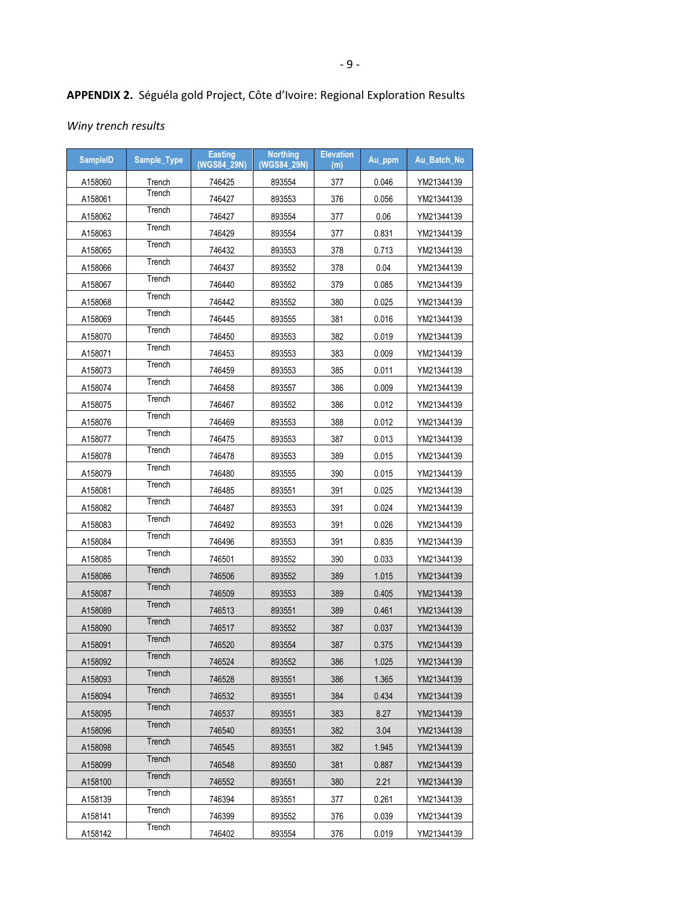## **APPENDIX 2.** Séguéla gold Project, Côte d'Ivoire: Regional Exploration Results

*Winy trench results*

| <b>SampleID</b> | Sample_Type | <b>Easting</b><br>(WGS84 29N) | <b>Northing</b><br>(WGS84 29N) | <b>Elevation</b><br>(m) | Au_ppm | Au Batch No |
|-----------------|-------------|-------------------------------|--------------------------------|-------------------------|--------|-------------|
| A158060         | Trench      | 746425                        | 893554                         | 377                     | 0.046  | YM21344139  |
| A158061         | Trench      | 746427                        | 893553                         | 376                     | 0.056  | YM21344139  |
| A158062         | Trench      | 746427                        | 893554                         | 377                     | 0.06   | YM21344139  |
| A158063         | Trench      | 746429                        | 893554                         | 377                     | 0.831  | YM21344139  |
| A158065         | Trench      | 746432                        | 893553                         | 378                     | 0.713  | YM21344139  |
| A158066         | Trench      | 746437                        | 893552                         | 378                     | 0.04   | YM21344139  |
| A158067         | Trench      | 746440                        | 893552                         | 379                     | 0.085  | YM21344139  |
| A158068         | Trench      | 746442                        | 893552                         | 380                     | 0.025  | YM21344139  |
| A158069         | Trench      | 746445                        | 893555                         | 381                     | 0.016  | YM21344139  |
| A158070         | Trench      | 746450                        | 893553                         | 382                     | 0.019  | YM21344139  |
| A158071         | Trench      | 746453                        | 893553                         | 383                     | 0.009  | YM21344139  |
| A158073         | Trench      | 746459                        | 893553                         | 385                     | 0.011  | YM21344139  |
| A158074         | Trench      | 746458                        | 893557                         | 386                     | 0.009  | YM21344139  |
| A158075         | Trench      | 746467                        | 893552                         | 386                     | 0.012  | YM21344139  |
| A158076         | Trench      | 746469                        | 893553                         | 388                     | 0.012  | YM21344139  |
| A158077         | Trench      | 746475                        | 893553                         | 387                     | 0.013  | YM21344139  |
| A158078         | Trench      | 746478                        | 893553                         | 389                     | 0.015  | YM21344139  |
| A158079         | Trench      | 746480                        | 893555                         | 390                     | 0.015  | YM21344139  |
| A158081         | Trench      | 746485                        | 893551                         | 391                     | 0.025  | YM21344139  |
| A158082         | Trench      | 746487                        | 893553                         | 391                     | 0.024  | YM21344139  |
| A158083         | Trench      | 746492                        | 893553                         | 391                     | 0.026  | YM21344139  |
| A158084         | Trench      | 746496                        | 893553                         | 391                     | 0.835  | YM21344139  |
| A158085         | Trench      | 746501                        | 893552                         | 390                     | 0.033  | YM21344139  |
| A158086         | Trench      | 746506                        | 893552                         | 389                     | 1.015  | YM21344139  |
| A158087         | Trench      | 746509                        | 893553                         | 389                     | 0.405  | YM21344139  |
| A158089         | Trench      | 746513                        | 893551                         | 389                     | 0.461  | YM21344139  |
| A158090         | Trench      | 746517                        | 893552                         | 387                     | 0.037  | YM21344139  |
| A158091         | Trench      | 746520                        | 893554                         | 387                     | 0.375  | YM21344139  |
| A158092         | Trench      | 746524                        | 893552                         | 386                     | 1.025  | YM21344139  |
| A158093         | Trench      | 746528                        | 893551                         | 386                     | 1.365  | YM21344139  |
| A158094         | Trench      | 746532                        | 893551                         | 384                     | 0.434  | YM21344139  |
| A158095         | Trench      | 746537                        | 893551                         | 383                     | 8.27   | YM21344139  |
| A158096         | Trench      | 746540                        | 893551                         | 382                     | 3.04   | YM21344139  |
| A158098         | Trench      | 746545                        | 893551                         | 382                     | 1.945  | YM21344139  |
| A158099         | Trench      | 746548                        | 893550                         | 381                     | 0.887  | YM21344139  |
| A158100         | Trench      | 746552                        | 893551                         | 380                     | 2.21   | YM21344139  |
| A158139         | Trench      | 746394                        | 893551                         | 377                     | 0.261  | YM21344139  |
| A158141         | Trench      | 746399                        | 893552                         | 376                     | 0.039  | YM21344139  |
| A158142         | Trench      | 746402                        | 893554                         | 376                     | 0.019  | YM21344139  |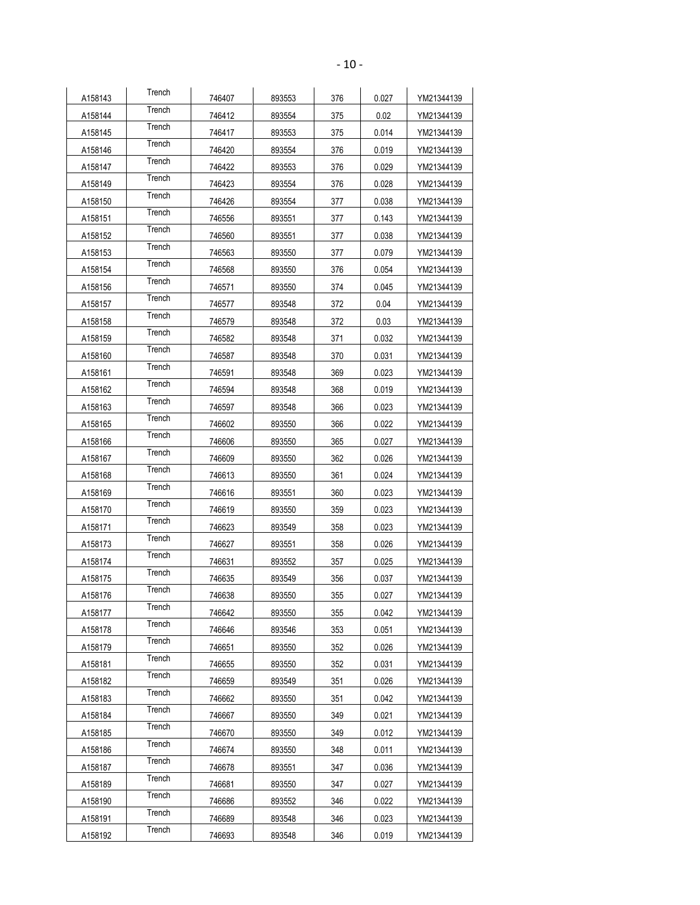| A158143 | Trench | 746407 | 893553 | 376 | 0.027 | YM21344139 |
|---------|--------|--------|--------|-----|-------|------------|
| A158144 | Trench | 746412 | 893554 | 375 | 0.02  | YM21344139 |
| A158145 | Trench | 746417 | 893553 | 375 | 0.014 | YM21344139 |
| A158146 | Trench | 746420 | 893554 | 376 | 0.019 | YM21344139 |
| A158147 | Trench | 746422 | 893553 | 376 | 0.029 | YM21344139 |
| A158149 | Trench | 746423 | 893554 | 376 | 0.028 | YM21344139 |
| A158150 | Trench | 746426 | 893554 | 377 | 0.038 | YM21344139 |
| A158151 | Trench | 746556 | 893551 | 377 | 0.143 | YM21344139 |
| A158152 | Trench | 746560 | 893551 | 377 | 0.038 | YM21344139 |
| A158153 | Trench | 746563 | 893550 | 377 | 0.079 | YM21344139 |
| A158154 | Trench | 746568 | 893550 | 376 | 0.054 | YM21344139 |
| A158156 | Trench | 746571 | 893550 | 374 | 0.045 | YM21344139 |
| A158157 | Trench | 746577 | 893548 | 372 | 0.04  | YM21344139 |
| A158158 | Trench | 746579 | 893548 | 372 | 0.03  | YM21344139 |
| A158159 | Trench | 746582 | 893548 | 371 | 0.032 | YM21344139 |
| A158160 | Trench | 746587 | 893548 | 370 | 0.031 | YM21344139 |
| A158161 | Trench | 746591 | 893548 | 369 | 0.023 | YM21344139 |
| A158162 | Trench | 746594 | 893548 | 368 | 0.019 | YM21344139 |
| A158163 | Trench | 746597 | 893548 | 366 | 0.023 | YM21344139 |
| A158165 | Trench | 746602 | 893550 | 366 | 0.022 | YM21344139 |
| A158166 | Trench | 746606 | 893550 | 365 | 0.027 | YM21344139 |
| A158167 | Trench | 746609 | 893550 | 362 | 0.026 | YM21344139 |
| A158168 | Trench | 746613 | 893550 | 361 | 0.024 | YM21344139 |
| A158169 | Trench | 746616 | 893551 | 360 | 0.023 | YM21344139 |
| A158170 | Trench | 746619 | 893550 | 359 | 0.023 | YM21344139 |
| A158171 | Trench | 746623 | 893549 | 358 | 0.023 | YM21344139 |
| A158173 | Trench | 746627 | 893551 | 358 | 0.026 | YM21344139 |
| A158174 | Trench | 746631 | 893552 | 357 | 0.025 | YM21344139 |
| A158175 | Trench | 746635 | 893549 | 356 | 0.037 | YM21344139 |
| A158176 | Trench | 746638 | 893550 | 355 | 0.027 | YM21344139 |
| A158177 | Trench | 746642 | 893550 | 355 | 0.042 | YM21344139 |
| A158178 | Trench | 746646 | 893546 | 353 | 0.051 | YM21344139 |
| A158179 | Trench | 746651 | 893550 | 352 | 0.026 | YM21344139 |
| A158181 | Trench | 746655 | 893550 | 352 | 0.031 | YM21344139 |
| A158182 | Trench | 746659 | 893549 | 351 | 0.026 | YM21344139 |
| A158183 | Trench | 746662 | 893550 | 351 | 0.042 | YM21344139 |
| A158184 | Trench | 746667 | 893550 | 349 | 0.021 | YM21344139 |
| A158185 | Trench | 746670 | 893550 | 349 | 0.012 | YM21344139 |
| A158186 | Trench | 746674 | 893550 | 348 | 0.011 | YM21344139 |
| A158187 | Trench | 746678 | 893551 | 347 | 0.036 | YM21344139 |
| A158189 | Trench | 746681 | 893550 | 347 | 0.027 | YM21344139 |
| A158190 | Trench | 746686 | 893552 | 346 | 0.022 | YM21344139 |
| A158191 | Trench | 746689 | 893548 | 346 | 0.023 | YM21344139 |
| A158192 | Trench | 746693 | 893548 | 346 | 0.019 | YM21344139 |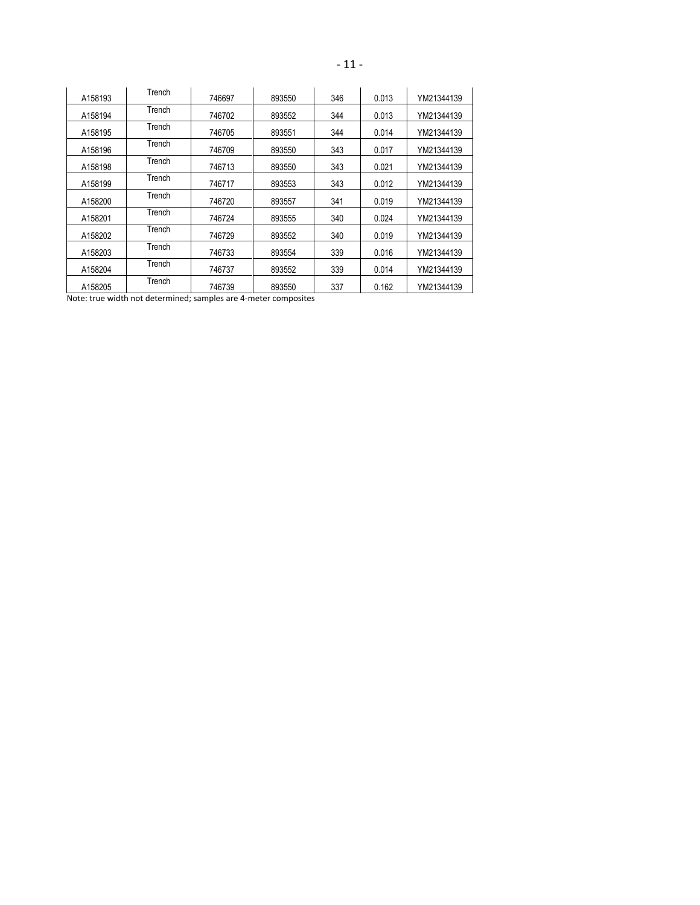| A158193 | Trench | 746697 | 893550 | 346 | 0.013 | YM21344139 |
|---------|--------|--------|--------|-----|-------|------------|
| A158194 | Trench | 746702 | 893552 | 344 | 0.013 | YM21344139 |
| A158195 | Trench | 746705 | 893551 | 344 | 0.014 | YM21344139 |
| A158196 | Trench | 746709 | 893550 | 343 | 0.017 | YM21344139 |
| A158198 | Trench | 746713 | 893550 | 343 | 0.021 | YM21344139 |
| A158199 | Trench | 746717 | 893553 | 343 | 0.012 | YM21344139 |
| A158200 | Trench | 746720 | 893557 | 341 | 0.019 | YM21344139 |
| A158201 | Trench | 746724 | 893555 | 340 | 0.024 | YM21344139 |
| A158202 | Trench | 746729 | 893552 | 340 | 0.019 | YM21344139 |
| A158203 | Trench | 746733 | 893554 | 339 | 0.016 | YM21344139 |
| A158204 | Trench | 746737 | 893552 | 339 | 0.014 | YM21344139 |
| A158205 | Trench | 746739 | 893550 | 337 | 0.162 | YM21344139 |

Note: true width not determined; samples are 4-meter composites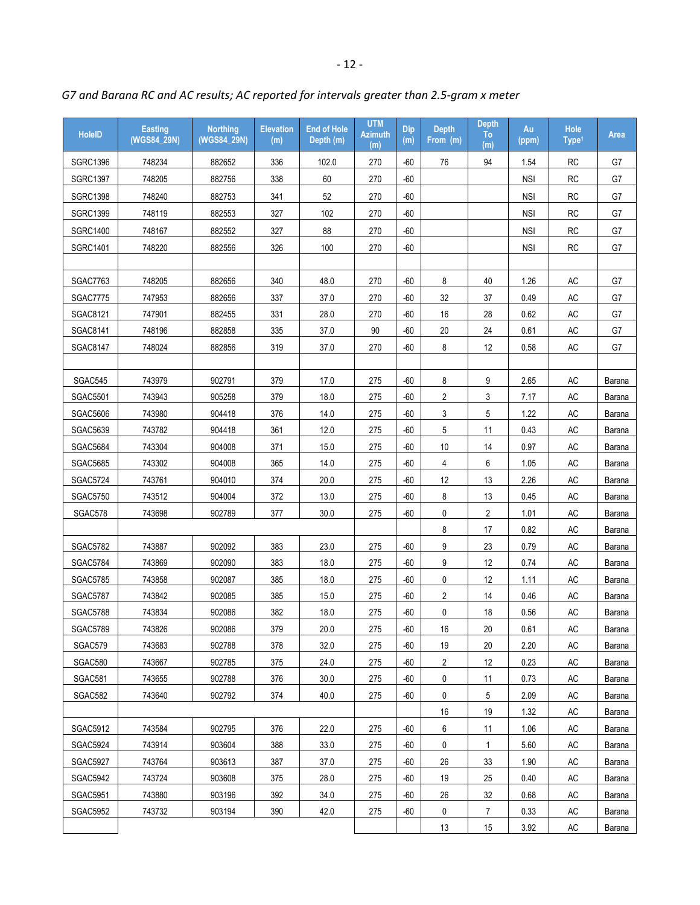| <b>HoleID</b>   | <b>Easting</b><br>(WGS84_29N) | <b>Northing</b><br>(WGS84_29N) | <b>Elevation</b><br>(m) | <b>End of Hole</b><br>Depth (m) | <b>UTM</b><br><b>Azimuth</b><br>(m) | <b>Dip</b><br>(m) | <b>Depth</b><br>From (m) | <b>Depth</b><br>To<br>(m) | Au<br>(ppm) | <b>Hole</b><br>Type <sup>1</sup> | Area   |
|-----------------|-------------------------------|--------------------------------|-------------------------|---------------------------------|-------------------------------------|-------------------|--------------------------|---------------------------|-------------|----------------------------------|--------|
| <b>SGRC1396</b> | 748234                        | 882652                         | 336                     | 102.0                           | 270                                 | $-60$             | 76                       | 94                        | 1.54        | <b>RC</b>                        | G7     |
| <b>SGRC1397</b> | 748205                        | 882756                         | 338                     | 60                              | 270                                 | $-60$             |                          |                           | <b>NSI</b>  | <b>RC</b>                        | G7     |
| <b>SGRC1398</b> | 748240                        | 882753                         | 341                     | 52                              | 270                                 | $-60$             |                          |                           | <b>NSI</b>  | <b>RC</b>                        | G7     |
| SGRC1399        | 748119                        | 882553                         | 327                     | 102                             | 270                                 | $-60$             |                          |                           | <b>NSI</b>  | <b>RC</b>                        | G7     |
| <b>SGRC1400</b> | 748167                        | 882552                         | 327                     | 88                              | 270                                 | $-60$             |                          |                           | <b>NSI</b>  | <b>RC</b>                        | G7     |
| <b>SGRC1401</b> | 748220                        | 882556                         | 326                     | 100                             | 270                                 | $-60$             |                          |                           | <b>NSI</b>  | <b>RC</b>                        | G7     |
|                 |                               |                                |                         |                                 |                                     |                   |                          |                           |             |                                  |        |
| SGAC7763        | 748205                        | 882656                         | 340                     | 48.0                            | 270                                 | $-60$             | 8                        | 40                        | 1.26        | AC                               | G7     |
| <b>SGAC7775</b> | 747953                        | 882656                         | 337                     | 37.0                            | 270                                 | $-60$             | 32                       | 37                        | 0.49        | AC                               | G7     |
| SGAC8121        | 747901                        | 882455                         | 331                     | 28.0                            | 270                                 | $-60$             | 16                       | 28                        | 0.62        | <b>AC</b>                        | G7     |
| SGAC8141        | 748196                        | 882858                         | 335                     | 37.0                            | 90                                  | $-60$             | 20                       | 24                        | 0.61        | AC                               | G7     |
| SGAC8147        | 748024                        | 882856                         | 319                     | 37.0                            | 270                                 | $-60$             | 8                        | 12                        | 0.58        | AC                               | G7     |
|                 |                               |                                |                         |                                 |                                     |                   |                          |                           |             |                                  |        |
| SGAC545         | 743979                        | 902791                         | 379                     | 17.0                            | 275                                 | -60               | 8                        | 9                         | 2.65        | AC                               | Barana |
| <b>SGAC5501</b> | 743943                        | 905258                         | 379                     | 18.0                            | 275                                 | $-60$             | 2                        | 3                         | 7.17        | AC                               | Barana |
| <b>SGAC5606</b> | 743980                        | 904418                         | 376                     | 14.0                            | 275                                 | $-60$             | 3                        | 5                         | 1.22        | <b>AC</b>                        | Barana |
| <b>SGAC5639</b> | 743782                        | 904418                         | 361                     | 12.0                            | 275                                 | $-60$             | 5                        | 11                        | 0.43        | AC                               | Barana |
| <b>SGAC5684</b> | 743304                        | 904008                         | 371                     | 15.0                            | 275                                 | $-60$             | 10                       | 14                        | 0.97        | AC                               | Barana |
| <b>SGAC5685</b> | 743302                        | 904008                         | 365                     | 14.0                            | 275                                 | $-60$             | $\overline{4}$           | 6                         | 1.05        | <b>AC</b>                        | Barana |
| <b>SGAC5724</b> | 743761                        | 904010                         | 374                     | 20.0                            | 275                                 | $-60$             | 12                       | 13                        | 2.26        | AC                               | Barana |
| <b>SGAC5750</b> | 743512                        | 904004                         | 372                     | 13.0                            | 275                                 | -60               | 8                        | 13                        | 0.45        | AC                               | Barana |
| SGAC578         | 743698                        | 902789                         | 377                     | 30.0                            | 275                                 | $-60$             | 0                        | $\overline{2}$            | 1.01        | <b>AC</b>                        | Barana |
|                 |                               |                                |                         |                                 |                                     |                   | 8                        | 17                        | 0.82        | AC                               | Barana |
| SGAC5782        | 743887                        | 902092                         | 383                     | 23.0                            | 275                                 | $-60$             | 9                        | 23                        | 0.79        | AC                               | Barana |
| <b>SGAC5784</b> | 743869                        | 902090                         | 383                     | 18.0                            | 275                                 | $-60$             | 9                        | 12                        | 0.74        | AC                               | Barana |
| <b>SGAC5785</b> | 743858                        | 902087                         | 385                     | 18.0                            | 275                                 | -60               | 0                        | 12                        | 1.11        | AC                               | Barana |
| <b>SGAC5787</b> | 743842                        | 902085                         | 385                     | 15.0                            | 275                                 | $-60$             | 2                        | 14                        | 0.46        | AC                               | Barana |
| <b>SGAC5788</b> | 743834                        | 902086                         | 382                     | 18.0                            | 275                                 | $-60$             | 0                        | 18                        | 0.56        | AC                               | Barana |
| <b>SGAC5789</b> | 743826                        | 902086                         | 379                     | 20.0                            | 275                                 | $-60$             | 16                       | $20\,$                    | 0.61        | <b>AC</b>                        | Barana |
| SGAC579         | 743683                        | 902788                         | 378                     | 32.0                            | 275                                 | -60               | 19                       | 20                        | 2.20        | AC                               | Barana |
| SGAC580         | 743667                        | 902785                         | 375                     | 24.0                            | 275                                 | -60               | $\mathbf{2}^{\prime}$    | 12                        | 0.23        | AC                               | Barana |
| SGAC581         | 743655                        | 902788                         | 376                     | 30.0                            | 275                                 | -60               | 0                        | 11                        | 0.73        | AC                               | Barana |
| SGAC582         | 743640                        | 902792                         | 374                     | 40.0                            | 275                                 | -60               | 0                        | 5                         | 2.09        | AC                               | Barana |
|                 |                               |                                |                         |                                 |                                     |                   | 16                       | 19                        | 1.32        | AC                               | Barana |
| <b>SGAC5912</b> | 743584                        | 902795                         | 376                     | 22.0                            | 275                                 | -60               | 6                        | 11                        | 1.06        | AC                               | Barana |
| SGAC5924        | 743914                        | 903604                         | 388                     | 33.0                            | 275                                 | -60               | 0                        | $\mathbf{1}$              | 5.60        | AC                               | Barana |
| <b>SGAC5927</b> | 743764                        | 903613                         | 387                     | 37.0                            | 275                                 | -60               | 26                       | 33                        | 1.90        | AC                               | Barana |
| <b>SGAC5942</b> | 743724                        | 903608                         | 375                     | 28.0                            | 275                                 | -60               | 19                       | 25                        | 0.40        | AC                               | Barana |
| <b>SGAC5951</b> | 743880                        | 903196                         | 392                     | 34.0                            | 275                                 | -60               | 26                       | 32                        | 0.68        | AC                               | Barana |
| <b>SGAC5952</b> | 743732                        | 903194                         | 390                     | 42.0                            | 275                                 | -60               | 0                        | $\overline{7}$            | 0.33        | AC                               | Barana |
|                 |                               |                                |                         |                                 |                                     |                   | 13                       | 15                        | 3.92        | AC                               | Barana |

# *G7 and Barana RC and AC results; AC reported for intervals greater than 2.5-gram x meter*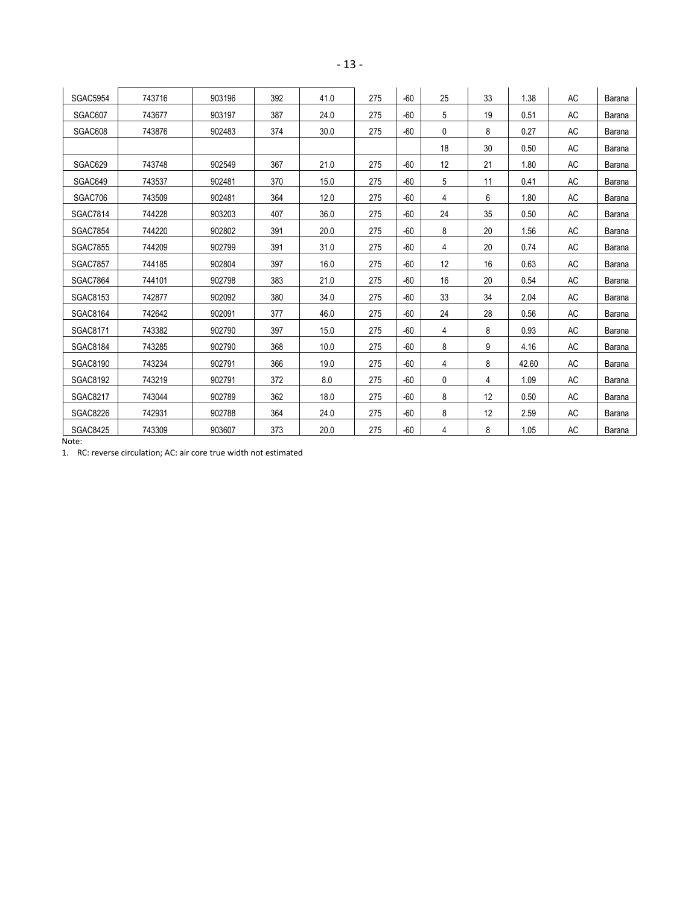| <b>SGAC5954</b> | 743716 | 903196 | 392 | 41.0 | 275 | $-60$ | 25 | 33 | 1.38  | <b>AC</b> | Barana |
|-----------------|--------|--------|-----|------|-----|-------|----|----|-------|-----------|--------|
| SGAC607         | 743677 | 903197 | 387 | 24.0 | 275 | $-60$ | 5  | 19 | 0.51  | <b>AC</b> | Barana |
| SGAC608         | 743876 | 902483 | 374 | 30.0 | 275 | $-60$ | 0  | 8  | 0.27  | AC        | Barana |
|                 |        |        |     |      |     |       | 18 | 30 | 0.50  | AC        | Barana |
| SGAC629         | 743748 | 902549 | 367 | 21.0 | 275 | $-60$ | 12 | 21 | 1.80  | <b>AC</b> | Barana |
| SGAC649         | 743537 | 902481 | 370 | 15.0 | 275 | $-60$ | 5  | 11 | 0.41  | <b>AC</b> | Barana |
| SGAC706         | 743509 | 902481 | 364 | 12.0 | 275 | $-60$ | 4  | 6  | 1.80  | AC        | Barana |
| <b>SGAC7814</b> | 744228 | 903203 | 407 | 36.0 | 275 | $-60$ | 24 | 35 | 0.50  | <b>AC</b> | Barana |
| <b>SGAC7854</b> | 744220 | 902802 | 391 | 20.0 | 275 | $-60$ | 8  | 20 | 1.56  | AC        | Barana |
| <b>SGAC7855</b> | 744209 | 902799 | 391 | 31.0 | 275 | $-60$ | 4  | 20 | 0.74  | <b>AC</b> | Barana |
| <b>SGAC7857</b> | 744185 | 902804 | 397 | 16.0 | 275 | $-60$ | 12 | 16 | 0.63  | AC        | Barana |
| <b>SGAC7864</b> | 744101 | 902798 | 383 | 21.0 | 275 | $-60$ | 16 | 20 | 0.54  | <b>AC</b> | Barana |
| <b>SGAC8153</b> | 742877 | 902092 | 380 | 34.0 | 275 | $-60$ | 33 | 34 | 2.04  | <b>AC</b> | Barana |
| <b>SGAC8164</b> | 742642 | 902091 | 377 | 46.0 | 275 | $-60$ | 24 | 28 | 0.56  | <b>AC</b> | Barana |
| SGAC8171        | 743382 | 902790 | 397 | 15.0 | 275 | $-60$ | 4  | 8  | 0.93  | AC        | Barana |
| <b>SGAC8184</b> | 743285 | 902790 | 368 | 10.0 | 275 | $-60$ | 8  | 9  | 4.16  | <b>AC</b> | Barana |
| <b>SGAC8190</b> | 743234 | 902791 | 366 | 19.0 | 275 | $-60$ | 4  | 8  | 42.60 | AC        | Barana |
| <b>SGAC8192</b> | 743219 | 902791 | 372 | 8.0  | 275 | $-60$ | 0  | 4  | 1.09  | <b>AC</b> | Barana |
| <b>SGAC8217</b> | 743044 | 902789 | 362 | 18.0 | 275 | $-60$ | 8  | 12 | 0.50  | <b>AC</b> | Barana |
| <b>SGAC8226</b> | 742931 | 902788 | 364 | 24.0 | 275 | $-60$ | 8  | 12 | 2.59  | AC        | Barana |
| <b>SGAC8425</b> | 743309 | 903607 | 373 | 20.0 | 275 | $-60$ | 4  | 8  | 1.05  | AC        | Barana |

Note:

1. RC: reverse circulation; AC: air core true width not estimated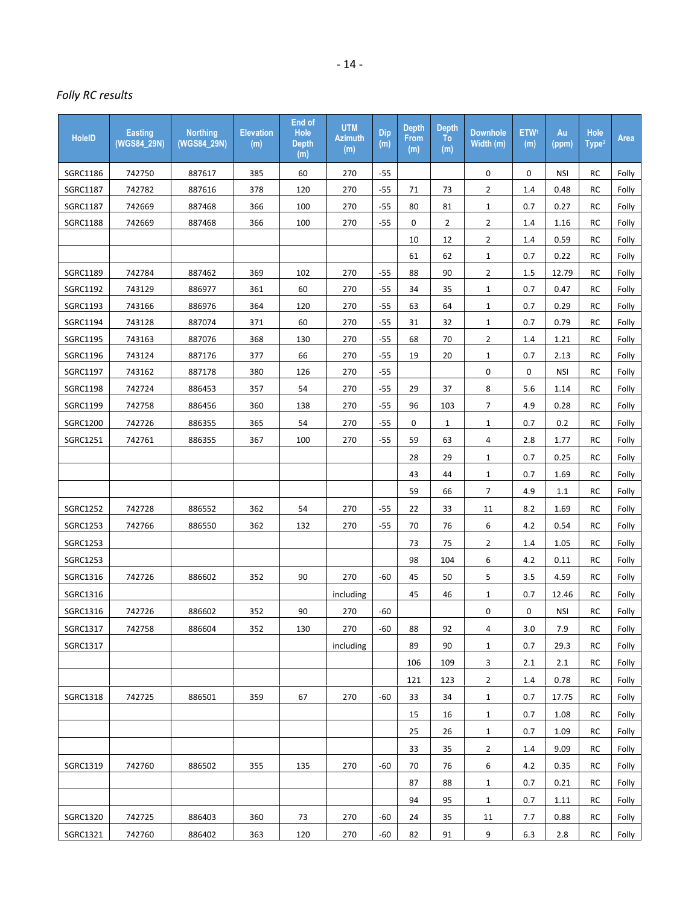# *Folly RC results*

| <b>HoleID</b>   | Easting<br>(WGS84_29N) | <b>Northing</b><br>(WGS84_29N) | <b>Elevation</b><br>(m) | End of<br>Hole<br><b>Depth</b><br>(m) | <b>UTM</b><br><b>Azimuth</b><br>(m) | <b>Dip</b><br>(m) | Depth<br><b>From</b><br>(m) | <b>Depth</b><br>To<br>(m) | <b>Downhole</b><br>Width (m) | ETW <sup>1</sup><br>(m) | Au<br>(ppm) | Hole<br>Type <sup>2</sup> | Area  |
|-----------------|------------------------|--------------------------------|-------------------------|---------------------------------------|-------------------------------------|-------------------|-----------------------------|---------------------------|------------------------------|-------------------------|-------------|---------------------------|-------|
| SGRC1186        | 742750                 | 887617                         | 385                     | 60                                    | 270                                 | $-55$             |                             |                           | 0                            | 0                       | <b>NSI</b>  | RC                        | Folly |
| SGRC1187        | 742782                 | 887616                         | 378                     | 120                                   | 270                                 | $-55$             | 71                          | 73                        | $\overline{2}$               | 1.4                     | 0.48        | <b>RC</b>                 | Folly |
| SGRC1187        | 742669                 | 887468                         | 366                     | 100                                   | 270                                 | $-55$             | 80                          | 81                        | $\mathbf{1}$                 | 0.7                     | 0.27        | RC                        | Folly |
| <b>SGRC1188</b> | 742669                 | 887468                         | 366                     | 100                                   | 270                                 | $-55$             | 0                           | $\overline{2}$            | $\overline{2}$               | 1.4                     | 1.16        | <b>RC</b>                 | Folly |
|                 |                        |                                |                         |                                       |                                     |                   | 10                          | 12                        | $\overline{2}$               | 1.4                     | 0.59        | RC                        | Folly |
|                 |                        |                                |                         |                                       |                                     |                   | 61                          | 62                        | $\mathbf{1}$                 | 0.7                     | 0.22        | RC                        | Folly |
| SGRC1189        | 742784                 | 887462                         | 369                     | 102                                   | 270                                 | $-55$             | 88                          | 90                        | $\overline{2}$               | 1.5                     | 12.79       | <b>RC</b>                 | Folly |
| SGRC1192        | 743129                 | 886977                         | 361                     | 60                                    | 270                                 | $-55$             | 34                          | 35                        | $\mathbf{1}$                 | 0.7                     | 0.47        | <b>RC</b>                 | Folly |
| SGRC1193        | 743166                 | 886976                         | 364                     | 120                                   | 270                                 | $-55$             | 63                          | 64                        | $\mathbf{1}$                 | 0.7                     | 0.29        | <b>RC</b>                 | Folly |
| SGRC1194        | 743128                 | 887074                         | 371                     | 60                                    | 270                                 | $-55$             | 31                          | 32                        | $\mathbf{1}$                 | 0.7                     | 0.79        | RC                        | Folly |
| SGRC1195        | 743163                 | 887076                         | 368                     | 130                                   | 270                                 | $-55$             | 68                          | 70                        | $\overline{2}$               | 1.4                     | 1.21        | RC                        | Folly |
| SGRC1196        | 743124                 | 887176                         | 377                     | 66                                    | 270                                 | $-55$             | 19                          | 20                        | $\mathbf{1}$                 | 0.7                     | 2.13        | RC                        | Folly |
| SGRC1197        | 743162                 | 887178                         | 380                     | 126                                   | 270                                 | $-55$             |                             |                           | 0                            | 0                       | <b>NSI</b>  | <b>RC</b>                 | Folly |
| <b>SGRC1198</b> | 742724                 | 886453                         | 357                     | 54                                    | 270                                 | $-55$             | 29                          | 37                        | 8                            | 5.6                     | 1.14        | RC                        | Folly |
| SGRC1199        | 742758                 | 886456                         | 360                     | 138                                   | 270                                 | $-55$             | 96                          | 103                       | $\overline{7}$               | 4.9                     | 0.28        | <b>RC</b>                 | Folly |
| SGRC1200        | 742726                 | 886355                         | 365                     | 54                                    | 270                                 | $-55$             | 0                           | $\mathbf 1$               | $\mathbf{1}$                 | 0.7                     | 0.2         | RC                        | Folly |
| SGRC1251        | 742761                 | 886355                         | 367                     | 100                                   | 270                                 | $-55$             | 59                          | 63                        | $\overline{a}$               | 2.8                     | 1.77        | RC                        | Folly |
|                 |                        |                                |                         |                                       |                                     |                   | 28                          | 29                        | $\mathbf{1}$                 | 0.7                     | 0.25        | RC                        | Folly |
|                 |                        |                                |                         |                                       |                                     |                   | 43                          | 44                        | $\mathbf{1}$                 | 0.7                     | 1.69        | <b>RC</b>                 | Folly |
|                 |                        |                                |                         |                                       |                                     |                   | 59                          | 66                        | $\overline{7}$               | 4.9                     | 1.1         | <b>RC</b>                 | Folly |
| SGRC1252        | 742728                 | 886552                         | 362                     | 54                                    | 270                                 | $-55$             | 22                          | 33                        | 11                           | 8.2                     | 1.69        | RC                        | Folly |
| SGRC1253        | 742766                 | 886550                         | 362                     | 132                                   | 270                                 | $-55$             | 70                          | 76                        | 6                            | 4.2                     | 0.54        | RC                        | Folly |
| SGRC1253        |                        |                                |                         |                                       |                                     |                   | 73                          | 75                        | $\overline{2}$               | 1.4                     | 1.05        | <b>RC</b>                 | Folly |
| SGRC1253        |                        |                                |                         |                                       |                                     |                   | 98                          | 104                       | 6                            | 4.2                     | 0.11        | <b>RC</b>                 | Folly |
| SGRC1316        | 742726                 | 886602                         | 352                     | 90                                    | 270                                 | $-60$             | 45                          | 50                        | 5                            | 3.5                     | 4.59        | <b>RC</b>                 | Folly |
| SGRC1316        |                        |                                |                         |                                       | including                           |                   | 45                          | 46                        | $\mathbf 1$                  | 0.7                     | 12.46       | RC                        | Folly |
| SGRC1316        | 742726                 | 886602                         | 352                     | 90                                    | 270                                 | $-60$             |                             |                           | 0                            | 0                       | <b>NSI</b>  | <b>RC</b>                 | Folly |
| SGRC1317        | 742758                 | 886604                         | 352                     | 130                                   | 270                                 | -60               | 88                          | 92                        | 4                            | 3.0                     | 7.9         | RC                        | Folly |
| SGRC1317        |                        |                                |                         |                                       | including                           |                   | 89                          | 90                        | $\mathbf{1}$                 | 0.7                     | 29.3        | <b>RC</b>                 | Folly |
|                 |                        |                                |                         |                                       |                                     |                   | 106                         | 109                       | 3                            | 2.1                     | 2.1         | RC                        | Folly |
|                 |                        |                                |                         |                                       |                                     |                   | 121                         | 123                       | $\overline{2}$               | 1.4                     | 0.78        | RC                        | Folly |
| SGRC1318        | 742725                 | 886501                         | 359                     | 67                                    | 270                                 | -60               | 33                          | 34                        | 1                            | 0.7                     | 17.75       | RC                        | Folly |
|                 |                        |                                |                         |                                       |                                     |                   | 15                          | 16                        | $\mathbf{1}$                 | 0.7                     | 1.08        | RC                        | Folly |
|                 |                        |                                |                         |                                       |                                     |                   | 25                          | 26                        | $\mathbf{1}$                 | 0.7                     | 1.09        | RC                        | Folly |
|                 |                        |                                |                         |                                       |                                     |                   | 33                          | 35                        | $\overline{2}$               | 1.4                     | 9.09        | RC                        | Folly |
| SGRC1319        | 742760                 | 886502                         | 355                     | 135                                   | 270                                 | -60               | 70                          | 76                        | 6                            | 4.2                     | 0.35        | RC                        | Folly |
|                 |                        |                                |                         |                                       |                                     |                   | 87                          | 88                        | 1                            | 0.7                     | 0.21        | RC                        | Folly |
|                 |                        |                                |                         |                                       |                                     |                   | 94                          | 95                        | $\mathbf{1}$                 | 0.7                     | 1.11        | RC                        | Folly |
| SGRC1320        | 742725                 | 886403                         | 360                     | 73                                    | 270                                 | -60               | 24                          | 35                        | 11                           | 7.7                     | 0.88        | <b>RC</b>                 | Folly |
| SGRC1321        | 742760                 | 886402                         | 363                     | 120                                   | 270                                 | $-60$             | 82                          | 91                        | 9                            | 6.3                     | 2.8         | <b>RC</b>                 | Folly |
|                 |                        |                                |                         |                                       |                                     |                   |                             |                           |                              |                         |             |                           |       |

- 14 -